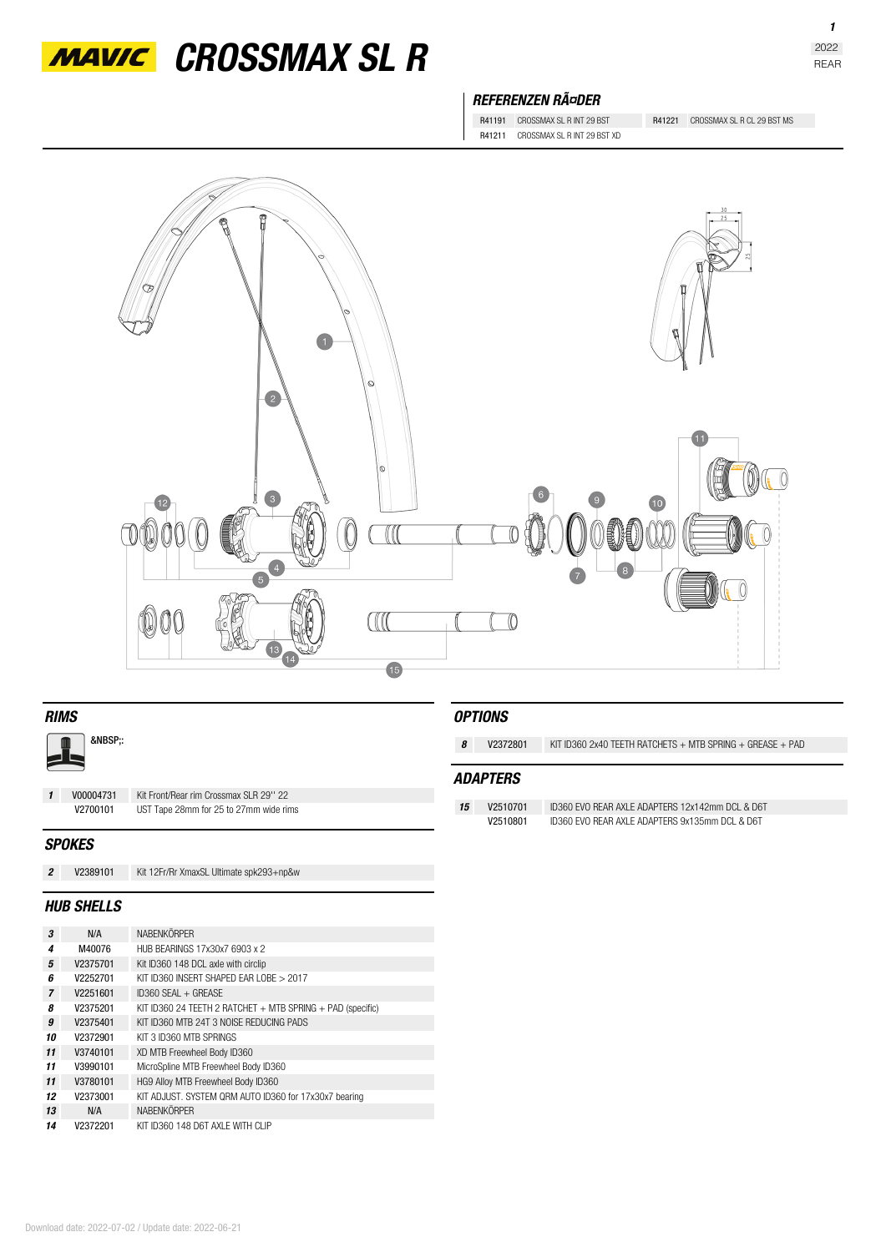

*MAVIC* CROSSMAX SL R

## *REFERENZEN RäDER*

R41191 CROSSMAX SL R INT 29 BST R41221 CROSSMAX SL R CL 29 BST MS R41211 CROSSMAX SL R INT 29 BST XD

r<br>T ę  $\overline{2}$  $\sigma$  $\boxed{0}$  $\bullet$  $\boxed{10}$ **TA**  $\bigcirc$  $\mathbb{I}$ O  $\mathcal{I}$  $\begin{array}{c}\n 4 \\
5\n \end{array}$ 00  $\Box$  $\overline{\mathbb{O}}$ 15

| <b>RIMS</b>       |               |                                         |    | <b>OPTIONS</b>  |                                                                 |  |  |
|-------------------|---------------|-----------------------------------------|----|-----------------|-----------------------------------------------------------------|--|--|
| &NBSP::           |               |                                         | 8  | V2372801        | KIT ID360 2x40 TEETH RATCHETS $+$ MTB SPRING $+$ GREASE $+$ PAD |  |  |
|                   |               |                                         |    | <b>ADAPTERS</b> |                                                                 |  |  |
| $\mathbf{1}$      | V00004731     | Kit Front/Rear rim Crossmax SLR 29" 22  |    |                 |                                                                 |  |  |
|                   | V2700101      | UST Tape 28mm for 25 to 27mm wide rims  | 15 | V2510701        | ID360 EVO REAR AXLE ADAPTERS 12x142mm DCL & D6T                 |  |  |
|                   |               |                                         |    | V2510801        | ID360 EVO REAR AXLE ADAPTERS 9x135mm DCL & D6T                  |  |  |
|                   | <b>SPOKES</b> |                                         |    |                 |                                                                 |  |  |
| $\overline{2}$    | V2389101      | Kit 12Fr/Rr XmaxSL Ultimate spk293+np&w |    |                 |                                                                 |  |  |
| <b>HUB SHELLS</b> |               |                                         |    |                 |                                                                 |  |  |

| 3              | N/A      | <b>NABENKÖRPER</b>                                             |
|----------------|----------|----------------------------------------------------------------|
| 4              | M40076   | HUB BEARINGS 17x30x7 6903 x 2                                  |
| 5              | V2375701 | Kit ID360 148 DCL axle with circlip                            |
| ĥ              | V2252701 | KIT ID360 INSERT SHAPED FAR LOBE > 2017                        |
| $\overline{7}$ | V2251601 | $ID360$ SFAI + GREASE                                          |
| я              | V2375201 | KIT ID360 24 TEETH 2 RATCHET $+$ MTB SPRING $+$ PAD (specific) |
| g              | V2375401 | KIT ID360 MTB 24T 3 NOISE REDUCING PADS                        |
| 10             | V2372901 | KIT 3 ID360 MTB SPRINGS                                        |
| 11             | V3740101 | XD MTB Freewheel Body ID360                                    |
| 11             | V3990101 | MicroSpline MTB Freewheel Body ID360                           |
| 11             | V3780101 | HG9 Alloy MTB Freewheel Body ID360                             |
| 12             | V2373001 | KIT ADJUST. SYSTEM QRM AUTO ID360 for 17x30x7 bearing          |
| 13             | N/A      | <b>NABENKÖRPER</b>                                             |
| 14             | V2372201 | KIT ID360 148 D6T AXI F WITH CLIP                              |